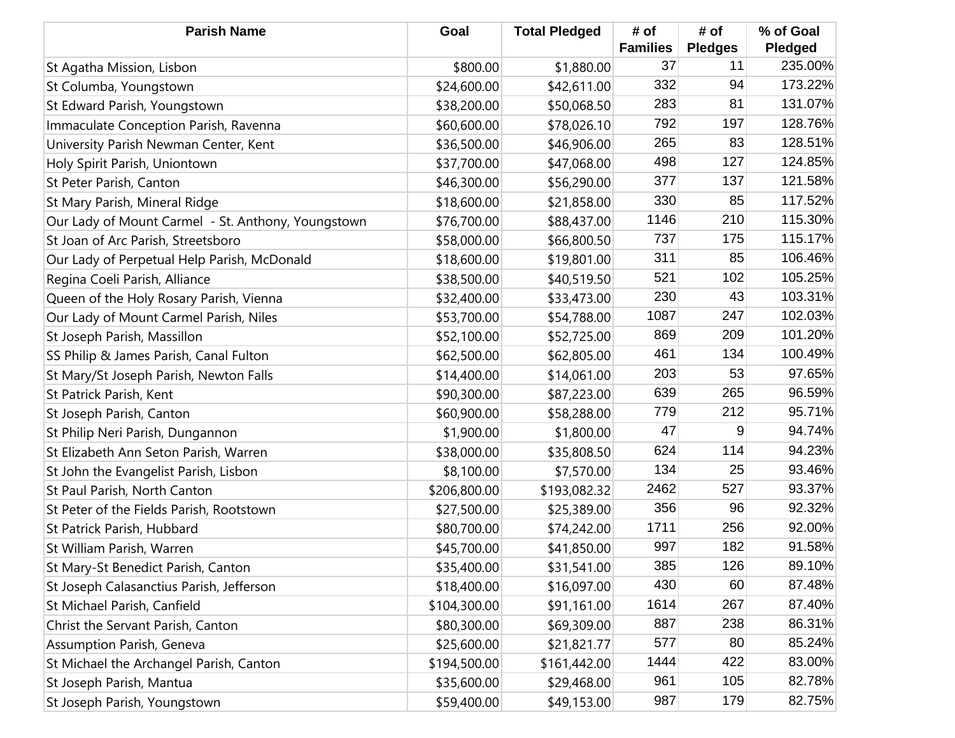| <b>Parish Name</b>                                 | Goal         | <b>Total Pledged</b> | # of            | # of           | % of Goal |
|----------------------------------------------------|--------------|----------------------|-----------------|----------------|-----------|
|                                                    |              |                      | <b>Families</b> | <b>Pledges</b> | Pledged   |
| St Agatha Mission, Lisbon                          | \$800.00     | \$1,880.00           | 37              | 11             | 235.00%   |
| St Columba, Youngstown                             | \$24,600.00  | \$42,611.00          | 332             | 94             | 173.22%   |
| St Edward Parish, Youngstown                       | \$38,200.00  | \$50,068.50          | 283             | 81             | 131.07%   |
| Immaculate Conception Parish, Ravenna              | \$60,600.00  | \$78,026.10          | 792             | 197            | 128.76%   |
| University Parish Newman Center, Kent              | \$36,500.00  | \$46,906.00          | 265             | 83             | 128.51%   |
| Holy Spirit Parish, Uniontown                      | \$37,700.00  | \$47,068.00          | 498             | 127            | 124.85%   |
| St Peter Parish, Canton                            | \$46,300.00  | \$56,290.00          | 377             | 137            | 121.58%   |
| St Mary Parish, Mineral Ridge                      | \$18,600.00  | \$21,858.00          | 330             | 85             | 117.52%   |
| Our Lady of Mount Carmel - St. Anthony, Youngstown | \$76,700.00  | \$88,437.00          | 1146            | 210            | 115.30%   |
| St Joan of Arc Parish, Streetsboro                 | \$58,000.00  | \$66,800.50          | 737             | 175            | 115.17%   |
| Our Lady of Perpetual Help Parish, McDonald        | \$18,600.00  | \$19,801.00          | 311             | 85             | 106.46%   |
| Regina Coeli Parish, Alliance                      | \$38,500.00  | \$40,519.50          | 521             | 102            | 105.25%   |
| Queen of the Holy Rosary Parish, Vienna            | \$32,400.00  | \$33,473.00          | 230             | 43             | 103.31%   |
| Our Lady of Mount Carmel Parish, Niles             | \$53,700.00  | \$54,788.00          | 1087            | 247            | 102.03%   |
| St Joseph Parish, Massillon                        | \$52,100.00  | \$52,725.00          | 869             | 209            | 101.20%   |
| SS Philip & James Parish, Canal Fulton             | \$62,500.00  | \$62,805.00          | 461             | 134            | 100.49%   |
| St Mary/St Joseph Parish, Newton Falls             | \$14,400.00  | \$14,061.00          | 203             | 53             | 97.65%    |
| St Patrick Parish, Kent                            | \$90,300.00  | \$87,223.00          | 639             | 265            | 96.59%    |
| St Joseph Parish, Canton                           | \$60,900.00  | \$58,288.00          | 779             | 212            | 95.71%    |
| St Philip Neri Parish, Dungannon                   | \$1,900.00   | \$1,800.00           | 47              | 9              | 94.74%    |
| St Elizabeth Ann Seton Parish, Warren              | \$38,000.00  | \$35,808.50          | 624             | 114            | 94.23%    |
| St John the Evangelist Parish, Lisbon              | \$8,100.00   | \$7,570.00           | 134             | 25             | 93.46%    |
| St Paul Parish, North Canton                       | \$206,800.00 | \$193,082.32         | 2462            | 527            | 93.37%    |
| St Peter of the Fields Parish, Rootstown           | \$27,500.00  | \$25,389.00          | 356             | 96             | 92.32%    |
| St Patrick Parish, Hubbard                         | \$80,700.00  | \$74,242.00          | 1711            | 256            | 92.00%    |
| St William Parish, Warren                          | \$45,700.00  | \$41,850.00          | 997             | 182            | 91.58%    |
| St Mary-St Benedict Parish, Canton                 | \$35,400.00  | \$31,541.00          | 385             | 126            | 89.10%    |
| St Joseph Calasanctius Parish, Jefferson           | \$18,400.00  | \$16,097.00          | 430             | 60             | 87.48%    |
| St Michael Parish, Canfield                        | \$104,300.00 | \$91,161.00          | 1614            | 267            | 87.40%    |
| Christ the Servant Parish, Canton                  | \$80,300.00  | \$69,309.00          | 887             | 238            | 86.31%    |
| Assumption Parish, Geneva                          | \$25,600.00  | \$21,821.77          | 577             | 80             | 85.24%    |
| St Michael the Archangel Parish, Canton            | \$194,500.00 | \$161,442.00         | 1444            | 422            | 83.00%    |
| St Joseph Parish, Mantua                           | \$35,600.00  | \$29,468.00          | 961             | 105            | 82.78%    |
| St Joseph Parish, Youngstown                       | \$59,400.00  | \$49,153.00          | 987             | 179            | 82.75%    |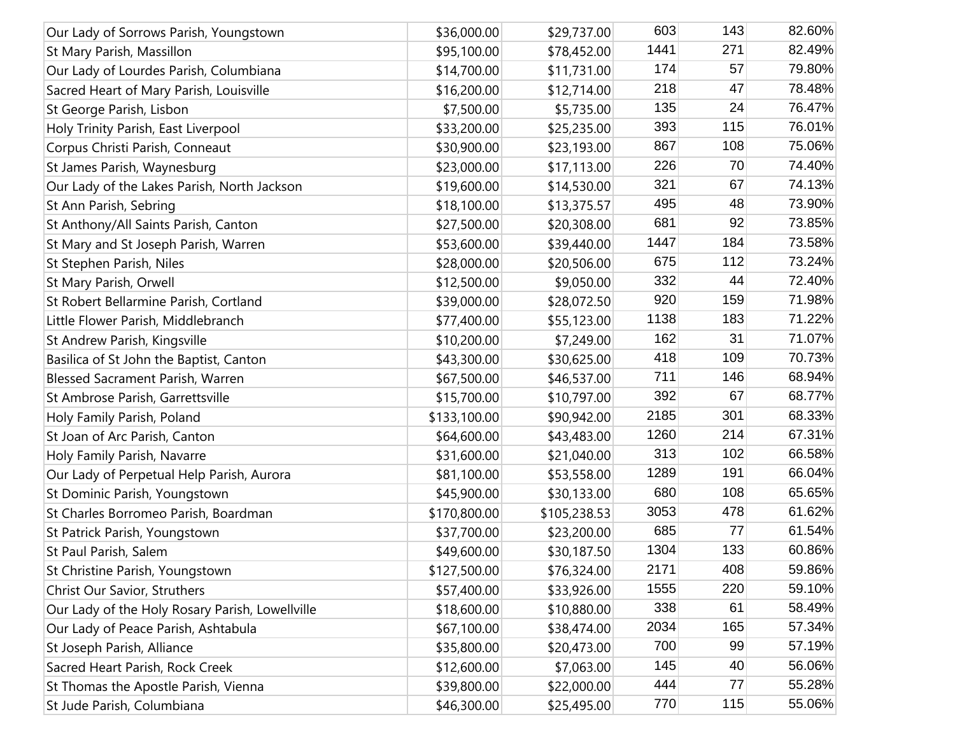| Our Lady of Sorrows Parish, Youngstown          | \$36,000.00  | \$29,737.00  | 603  | 143 | 82.60% |
|-------------------------------------------------|--------------|--------------|------|-----|--------|
| St Mary Parish, Massillon                       | \$95,100.00  | \$78,452.00  | 1441 | 271 | 82.49% |
| Our Lady of Lourdes Parish, Columbiana          | \$14,700.00  | \$11,731.00  | 174  | 57  | 79.80% |
| Sacred Heart of Mary Parish, Louisville         | \$16,200.00  | \$12,714.00  | 218  | 47  | 78.48% |
| St George Parish, Lisbon                        | \$7,500.00   | \$5,735.00   | 135  | 24  | 76.47% |
| Holy Trinity Parish, East Liverpool             | \$33,200.00  | \$25,235.00  | 393  | 115 | 76.01% |
| Corpus Christi Parish, Conneaut                 | \$30,900.00  | \$23,193.00  | 867  | 108 | 75.06% |
| St James Parish, Waynesburg                     | \$23,000.00  | \$17,113.00  | 226  | 70  | 74.40% |
| Our Lady of the Lakes Parish, North Jackson     | \$19,600.00  | \$14,530.00  | 321  | 67  | 74.13% |
| St Ann Parish, Sebring                          | \$18,100.00  | \$13,375.57  | 495  | 48  | 73.90% |
| St Anthony/All Saints Parish, Canton            | \$27,500.00  | \$20,308.00  | 681  | 92  | 73.85% |
| St Mary and St Joseph Parish, Warren            | \$53,600.00  | \$39,440.00  | 1447 | 184 | 73.58% |
| St Stephen Parish, Niles                        | \$28,000.00  | \$20,506.00  | 675  | 112 | 73.24% |
| St Mary Parish, Orwell                          | \$12,500.00  | \$9,050.00   | 332  | 44  | 72.40% |
| St Robert Bellarmine Parish, Cortland           | \$39,000.00  | \$28,072.50  | 920  | 159 | 71.98% |
| Little Flower Parish, Middlebranch              | \$77,400.00  | \$55,123.00  | 1138 | 183 | 71.22% |
| St Andrew Parish, Kingsville                    | \$10,200.00  | \$7,249.00   | 162  | 31  | 71.07% |
| Basilica of St John the Baptist, Canton         | \$43,300.00  | \$30,625.00  | 418  | 109 | 70.73% |
| Blessed Sacrament Parish, Warren                | \$67,500.00  | \$46,537.00  | 711  | 146 | 68.94% |
| St Ambrose Parish, Garrettsville                | \$15,700.00  | \$10,797.00  | 392  | 67  | 68.77% |
| Holy Family Parish, Poland                      | \$133,100.00 | \$90,942.00  | 2185 | 301 | 68.33% |
| St Joan of Arc Parish, Canton                   | \$64,600.00  | \$43,483.00  | 1260 | 214 | 67.31% |
| Holy Family Parish, Navarre                     | \$31,600.00  | \$21,040.00  | 313  | 102 | 66.58% |
| Our Lady of Perpetual Help Parish, Aurora       | \$81,100.00  | \$53,558.00  | 1289 | 191 | 66.04% |
| St Dominic Parish, Youngstown                   | \$45,900.00  | \$30,133.00  | 680  | 108 | 65.65% |
| St Charles Borromeo Parish, Boardman            | \$170,800.00 | \$105,238.53 | 3053 | 478 | 61.62% |
| St Patrick Parish, Youngstown                   | \$37,700.00  | \$23,200.00  | 685  | 77  | 61.54% |
| St Paul Parish, Salem                           | \$49,600.00  | \$30,187.50  | 1304 | 133 | 60.86% |
| St Christine Parish, Youngstown                 | \$127,500.00 | \$76,324.00  | 2171 | 408 | 59.86% |
| Christ Our Savior, Struthers                    | \$57,400.00  | \$33,926.00  | 1555 | 220 | 59.10% |
| Our Lady of the Holy Rosary Parish, Lowellville | \$18,600.00  | \$10,880.00  | 338  | 61  | 58.49% |
| Our Lady of Peace Parish, Ashtabula             | \$67,100.00  | \$38,474.00  | 2034 | 165 | 57.34% |
| St Joseph Parish, Alliance                      | \$35,800.00  | \$20,473.00  | 700  | 99  | 57.19% |
| Sacred Heart Parish, Rock Creek                 | \$12,600.00  | \$7,063.00   | 145  | 40  | 56.06% |
| St Thomas the Apostle Parish, Vienna            | \$39,800.00  | \$22,000.00  | 444  | 77  | 55.28% |
| St Jude Parish, Columbiana                      | \$46,300.00  | \$25,495.00  | 770  | 115 | 55.06% |